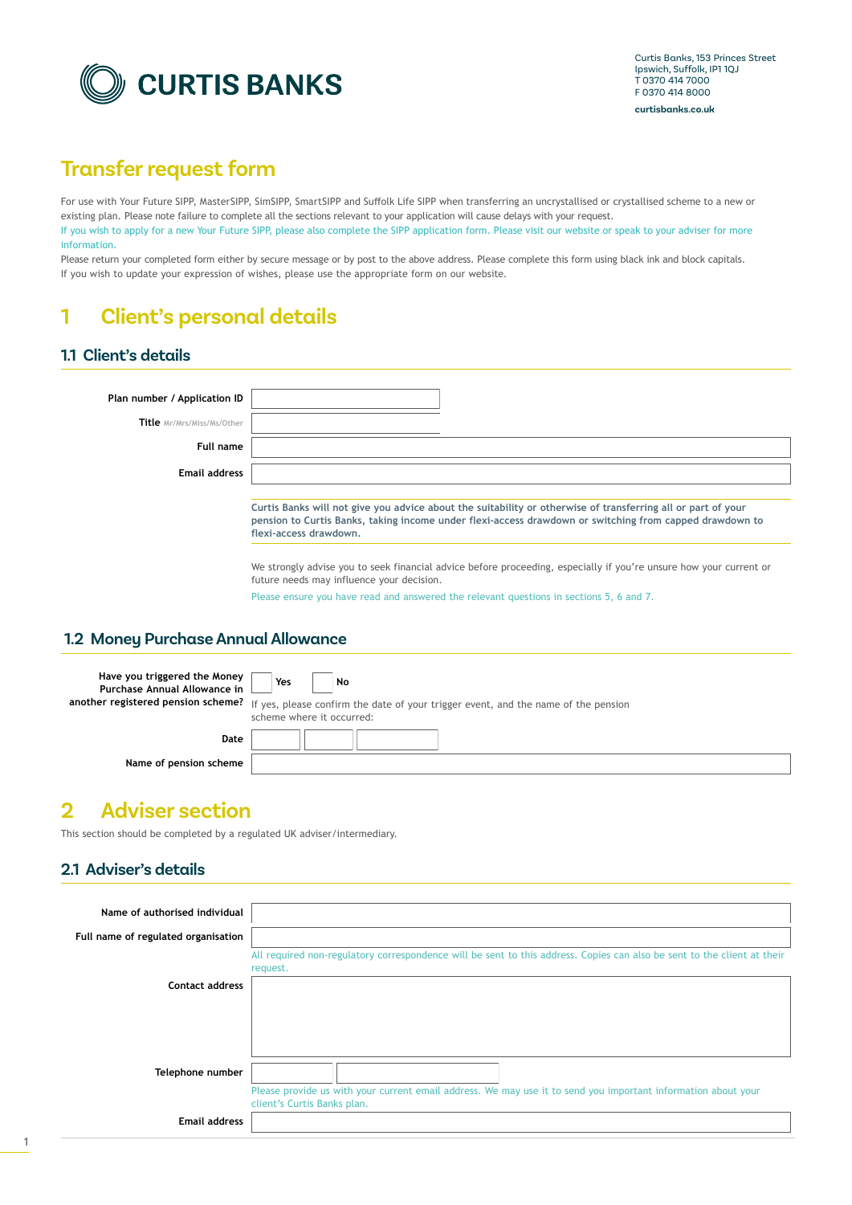

# **Transfer request form**

For use with Your Future SIPP, MasterSIPP, SimSIPP, SmartSIPP and Suffolk Life SIPP when transferring an uncrystallised or crystallised scheme to a new or existing plan. Please note failure to complete all the sections relevant to your application will cause delays with your request. If you wish to apply for a new Your Future SIPP, please also complete the SIPP application form. Please visit our website or speak to your adviser for more information.

Please return your completed form either by secure message or by post to the above address. Please complete this form using black ink and block capitals. If you wish to update your expression of wishes, please use the appropriate form on our website.

# **1 Client's personal details**

#### **1.1 Client's details**

| Plan number / Application ID |                                                                                                                                                                                                                                                                                                                                                                                                                      |
|------------------------------|----------------------------------------------------------------------------------------------------------------------------------------------------------------------------------------------------------------------------------------------------------------------------------------------------------------------------------------------------------------------------------------------------------------------|
| Title Mr/Mrs/Miss/Ms/Other   |                                                                                                                                                                                                                                                                                                                                                                                                                      |
| Full name                    |                                                                                                                                                                                                                                                                                                                                                                                                                      |
| <b>Email address</b>         |                                                                                                                                                                                                                                                                                                                                                                                                                      |
|                              | Curtis Banks will not give you advice about the suitability or otherwise of transferring all or part of your<br>pension to Curtis Banks, taking income under flexi-access drawdown or switching from capped drawdown to<br>flexi-access drawdown.<br>We strongly advise you to seek financial advice before proceeding, especially if you're unsure how your current or<br>future needs may influence your decision. |

Please ensure you have read and answered the relevant questions in sections 5, 6 and 7.

#### **1.2 Money Purchase Annual Allowance**

| Have you triggered the Money<br>Purchase Annual Allowance in | Yes<br>No<br>another registered pension scheme? If yes, please confirm the date of your trigger event, and the name of the pension<br>scheme where it occurred: |
|--------------------------------------------------------------|-----------------------------------------------------------------------------------------------------------------------------------------------------------------|
| Date                                                         |                                                                                                                                                                 |
| Name of pension scheme                                       |                                                                                                                                                                 |

## **2 Adviser section**

This section should be completed by a regulated UK adviser/intermediary.

#### **2.1 Adviser's details**

| Name of authorised individual       |                                                                                                                                              |
|-------------------------------------|----------------------------------------------------------------------------------------------------------------------------------------------|
| Full name of regulated organisation |                                                                                                                                              |
|                                     | All required non-regulatory correspondence will be sent to this address. Copies can also be sent to the client at their<br>request.          |
| <b>Contact address</b>              |                                                                                                                                              |
|                                     |                                                                                                                                              |
|                                     |                                                                                                                                              |
| Telephone number                    |                                                                                                                                              |
|                                     | Please provide us with your current email address. We may use it to send you important information about your<br>client's Curtis Banks plan. |
| <b>Email address</b>                |                                                                                                                                              |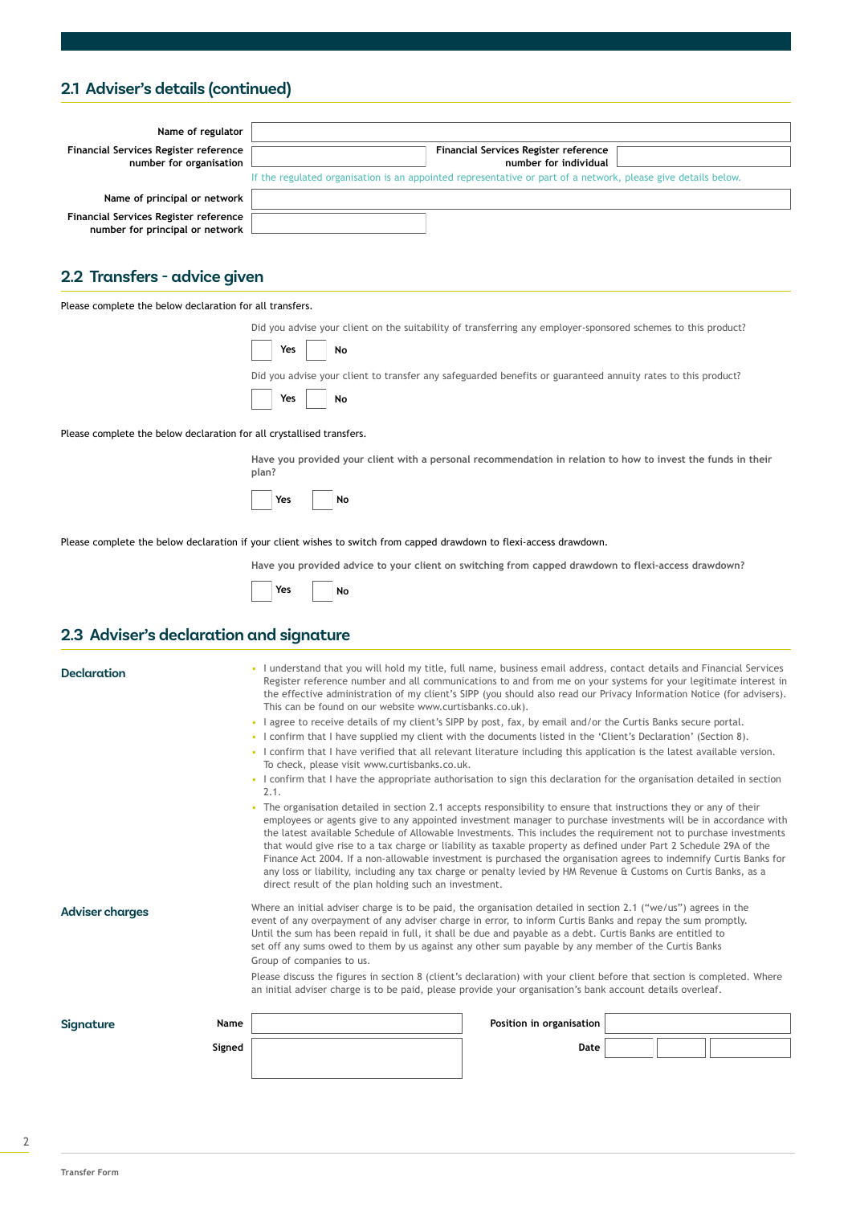### **2.1 Adviser's details (continued)**

| Name of regulator                                                        |                                                                                                               |
|--------------------------------------------------------------------------|---------------------------------------------------------------------------------------------------------------|
| Financial Services Register reference                                    | Financial Services Register reference                                                                         |
| number for organisation                                                  | number for individual                                                                                         |
|                                                                          | If the regulated organisation is an appointed representative or part of a network, please give details below. |
| Name of principal or network                                             |                                                                                                               |
| Financial Services Register reference<br>number for principal or network |                                                                                                               |

### **2.2 Transfers - advice given**

Please complete the below declaration for all transfers.

Did you advise your client on the suitability of transferring any employer-sponsored schemes to this product?

| VQC | N٥ |
|-----|----|
|     |    |

 $\sqrt{2}$  $\overline{\phantom{a}}$ 

Did you advise your client to transfer any safeguarded benefits or guaranteed annuity rates to this product?

|  | Yes | No |
|--|-----|----|
|  |     |    |

 $\overline{\phantom{a}}$  $\overline{\phantom{0}}$ 

Please complete the below declaration for all crystallised transfers.

**Have you provided your client with a personal recommendation in relation to how to invest the funds in their plan?**

| /ac | n<br>л |
|-----|--------|
|     |        |

Please complete the below declaration if your client wishes to switch from capped drawdown to flexi-access drawdown.

**Have you provided advice to your client on switching from capped drawdown to flexi-access drawdown?**

#### **2.3 Adviser's declaration and signature**

| <b>Declaration</b>     |        | This can be found on our website www.curtisbanks.co.uk).<br>To check, please visit www.curtisbanks.co.uk.<br>2.1.<br>direct result of the plan holding such an investment.                                                                                                                                                                                                                                                                                                       | • I understand that you will hold my title, full name, business email address, contact details and Financial Services<br>Register reference number and all communications to and from me on your systems for your legitimate interest in<br>the effective administration of my client's SIPP (you should also read our Privacy Information Notice (for advisers).<br>• I agree to receive details of my client's SIPP by post, fax, by email and/or the Curtis Banks secure portal.<br>• I confirm that I have supplied my client with the documents listed in the 'Client's Declaration' (Section 8).<br>• I confirm that I have verified that all relevant literature including this application is the latest available version.<br>• I confirm that I have the appropriate authorisation to sign this declaration for the organisation detailed in section<br>The organisation detailed in section 2.1 accepts responsibility to ensure that instructions they or any of their<br>employees or agents give to any appointed investment manager to purchase investments will be in accordance with<br>the latest available Schedule of Allowable Investments. This includes the requirement not to purchase investments<br>that would give rise to a tax charge or liability as taxable property as defined under Part 2 Schedule 29A of the<br>Finance Act 2004. If a non-allowable investment is purchased the organisation agrees to indemnify Curtis Banks for<br>any loss or liability, including any tax charge or penalty levied by HM Revenue & Customs on Curtis Banks, as a |  |
|------------------------|--------|----------------------------------------------------------------------------------------------------------------------------------------------------------------------------------------------------------------------------------------------------------------------------------------------------------------------------------------------------------------------------------------------------------------------------------------------------------------------------------|------------------------------------------------------------------------------------------------------------------------------------------------------------------------------------------------------------------------------------------------------------------------------------------------------------------------------------------------------------------------------------------------------------------------------------------------------------------------------------------------------------------------------------------------------------------------------------------------------------------------------------------------------------------------------------------------------------------------------------------------------------------------------------------------------------------------------------------------------------------------------------------------------------------------------------------------------------------------------------------------------------------------------------------------------------------------------------------------------------------------------------------------------------------------------------------------------------------------------------------------------------------------------------------------------------------------------------------------------------------------------------------------------------------------------------------------------------------------------------------------------------------------------------------------------------------------------------------|--|
| <b>Adviser charges</b> |        | Where an initial adviser charge is to be paid, the organisation detailed in section 2.1 ("we/us") agrees in the<br>event of any overpayment of any adviser charge in error, to inform Curtis Banks and repay the sum promptly.<br>Until the sum has been repaid in full, it shall be due and payable as a debt. Curtis Banks are entitled to<br>set off any sums owed to them by us against any other sum payable by any member of the Curtis Banks<br>Group of companies to us. |                                                                                                                                                                                                                                                                                                                                                                                                                                                                                                                                                                                                                                                                                                                                                                                                                                                                                                                                                                                                                                                                                                                                                                                                                                                                                                                                                                                                                                                                                                                                                                                          |  |
|                        |        |                                                                                                                                                                                                                                                                                                                                                                                                                                                                                  | Please discuss the figures in section 8 (client's declaration) with your client before that section is completed. Where<br>an initial adviser charge is to be paid, please provide your organisation's bank account details overleaf.                                                                                                                                                                                                                                                                                                                                                                                                                                                                                                                                                                                                                                                                                                                                                                                                                                                                                                                                                                                                                                                                                                                                                                                                                                                                                                                                                    |  |
| Signature              | Name   |                                                                                                                                                                                                                                                                                                                                                                                                                                                                                  | Position in organisation                                                                                                                                                                                                                                                                                                                                                                                                                                                                                                                                                                                                                                                                                                                                                                                                                                                                                                                                                                                                                                                                                                                                                                                                                                                                                                                                                                                                                                                                                                                                                                 |  |
|                        | Signed |                                                                                                                                                                                                                                                                                                                                                                                                                                                                                  | Date                                                                                                                                                                                                                                                                                                                                                                                                                                                                                                                                                                                                                                                                                                                                                                                                                                                                                                                                                                                                                                                                                                                                                                                                                                                                                                                                                                                                                                                                                                                                                                                     |  |
|                        |        |                                                                                                                                                                                                                                                                                                                                                                                                                                                                                  |                                                                                                                                                                                                                                                                                                                                                                                                                                                                                                                                                                                                                                                                                                                                                                                                                                                                                                                                                                                                                                                                                                                                                                                                                                                                                                                                                                                                                                                                                                                                                                                          |  |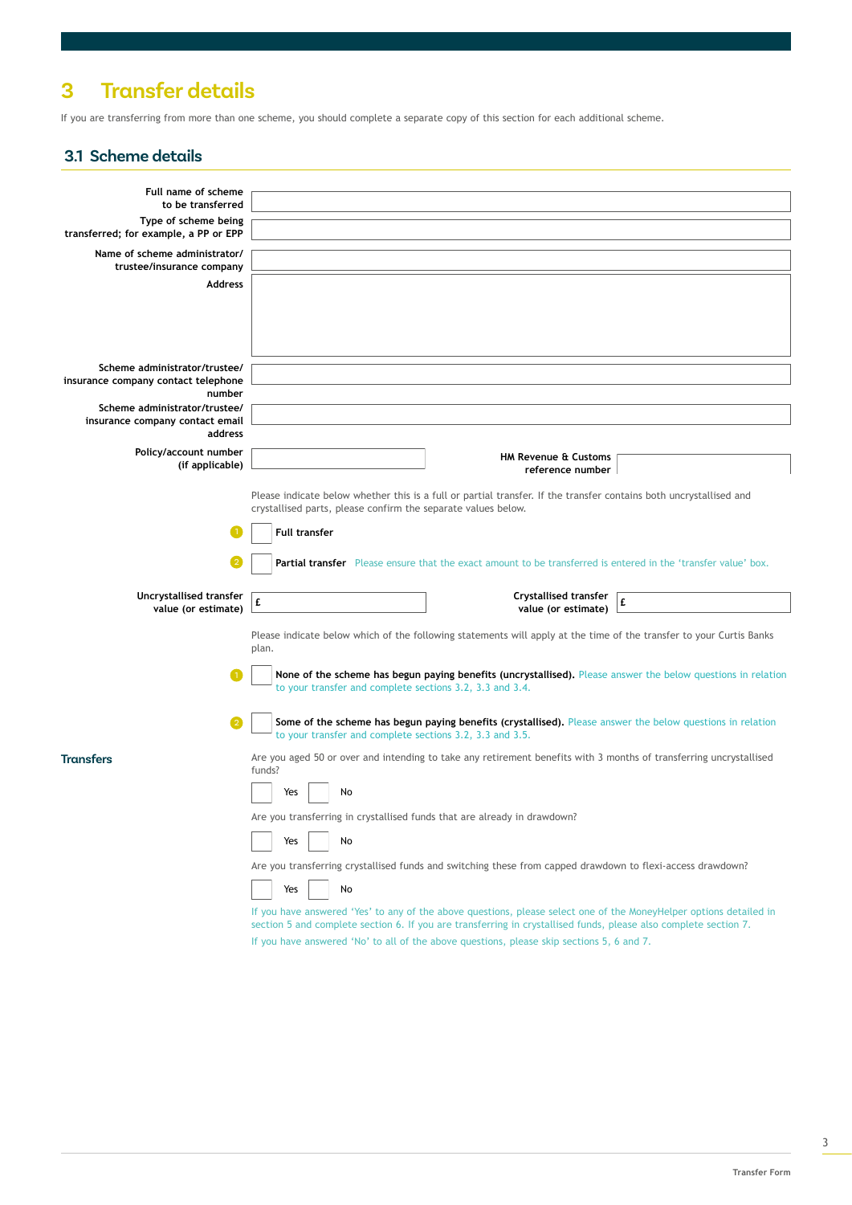# **3 Transfer details**

If you are transferring from more than one scheme, you should complete a separate copy of this section for each additional scheme.

#### **3.1 Scheme details**

| Full name of scheme                                              |                                                                                                                              |  |  |  |  |
|------------------------------------------------------------------|------------------------------------------------------------------------------------------------------------------------------|--|--|--|--|
| to be transferred                                                |                                                                                                                              |  |  |  |  |
| Type of scheme being                                             |                                                                                                                              |  |  |  |  |
| transferred; for example, a PP or EPP                            |                                                                                                                              |  |  |  |  |
| Name of scheme administrator/<br>trustee/insurance company       |                                                                                                                              |  |  |  |  |
| <b>Address</b>                                                   |                                                                                                                              |  |  |  |  |
|                                                                  |                                                                                                                              |  |  |  |  |
|                                                                  |                                                                                                                              |  |  |  |  |
|                                                                  |                                                                                                                              |  |  |  |  |
|                                                                  |                                                                                                                              |  |  |  |  |
| Scheme administrator/trustee/                                    |                                                                                                                              |  |  |  |  |
| insurance company contact telephone                              |                                                                                                                              |  |  |  |  |
| number                                                           |                                                                                                                              |  |  |  |  |
| Scheme administrator/trustee/<br>insurance company contact email |                                                                                                                              |  |  |  |  |
| address                                                          |                                                                                                                              |  |  |  |  |
| Policy/account number                                            |                                                                                                                              |  |  |  |  |
| (if applicable)                                                  | <b>HM Revenue &amp; Customs</b><br>reference number                                                                          |  |  |  |  |
|                                                                  |                                                                                                                              |  |  |  |  |
|                                                                  | Please indicate below whether this is a full or partial transfer. If the transfer contains both uncrystallised and           |  |  |  |  |
|                                                                  | crystallised parts, please confirm the separate values below.                                                                |  |  |  |  |
|                                                                  | <b>Full transfer</b>                                                                                                         |  |  |  |  |
|                                                                  |                                                                                                                              |  |  |  |  |
|                                                                  | Partial transfer Please ensure that the exact amount to be transferred is entered in the 'transfer value' box.               |  |  |  |  |
|                                                                  |                                                                                                                              |  |  |  |  |
| Uncrystallised transfer                                          | <b>Crystallised transfer</b><br>£<br>£                                                                                       |  |  |  |  |
| value (or estimate)                                              | value (or estimate)                                                                                                          |  |  |  |  |
|                                                                  | Please indicate below which of the following statements will apply at the time of the transfer to your Curtis Banks          |  |  |  |  |
|                                                                  | plan.                                                                                                                        |  |  |  |  |
|                                                                  | None of the scheme has begun paying benefits (uncrystallised). Please answer the below questions in relation                 |  |  |  |  |
|                                                                  | to your transfer and complete sections 3.2, 3.3 and 3.4.                                                                     |  |  |  |  |
|                                                                  |                                                                                                                              |  |  |  |  |
|                                                                  | Some of the scheme has begun paying benefits (crystallised). Please answer the below questions in relation                   |  |  |  |  |
|                                                                  | to your transfer and complete sections 3.2, 3.3 and 3.5.                                                                     |  |  |  |  |
| Transfers                                                        | Are you aged 50 or over and intending to take any retirement benefits with 3 months of transferring uncrystallised<br>funds? |  |  |  |  |
|                                                                  |                                                                                                                              |  |  |  |  |
|                                                                  | Yes<br>No                                                                                                                    |  |  |  |  |
|                                                                  | Are you transferring in crystallised funds that are already in drawdown?                                                     |  |  |  |  |
|                                                                  |                                                                                                                              |  |  |  |  |
|                                                                  | Yes<br>No                                                                                                                    |  |  |  |  |
|                                                                  | Are you transferring crystallised funds and switching these from capped drawdown to flexi-access drawdown?                   |  |  |  |  |
|                                                                  | No<br>Yes                                                                                                                    |  |  |  |  |
|                                                                  | If you have answered 'Yes' to any of the above questions, please select one of the MoneyHelper options detailed in           |  |  |  |  |
|                                                                  | section 5 and complete section 6. If you are transferring in crystallised funds, please also complete section 7.             |  |  |  |  |
|                                                                  | If you have answered 'No' to all of the above questions, please skip sections 5, 6 and 7.                                    |  |  |  |  |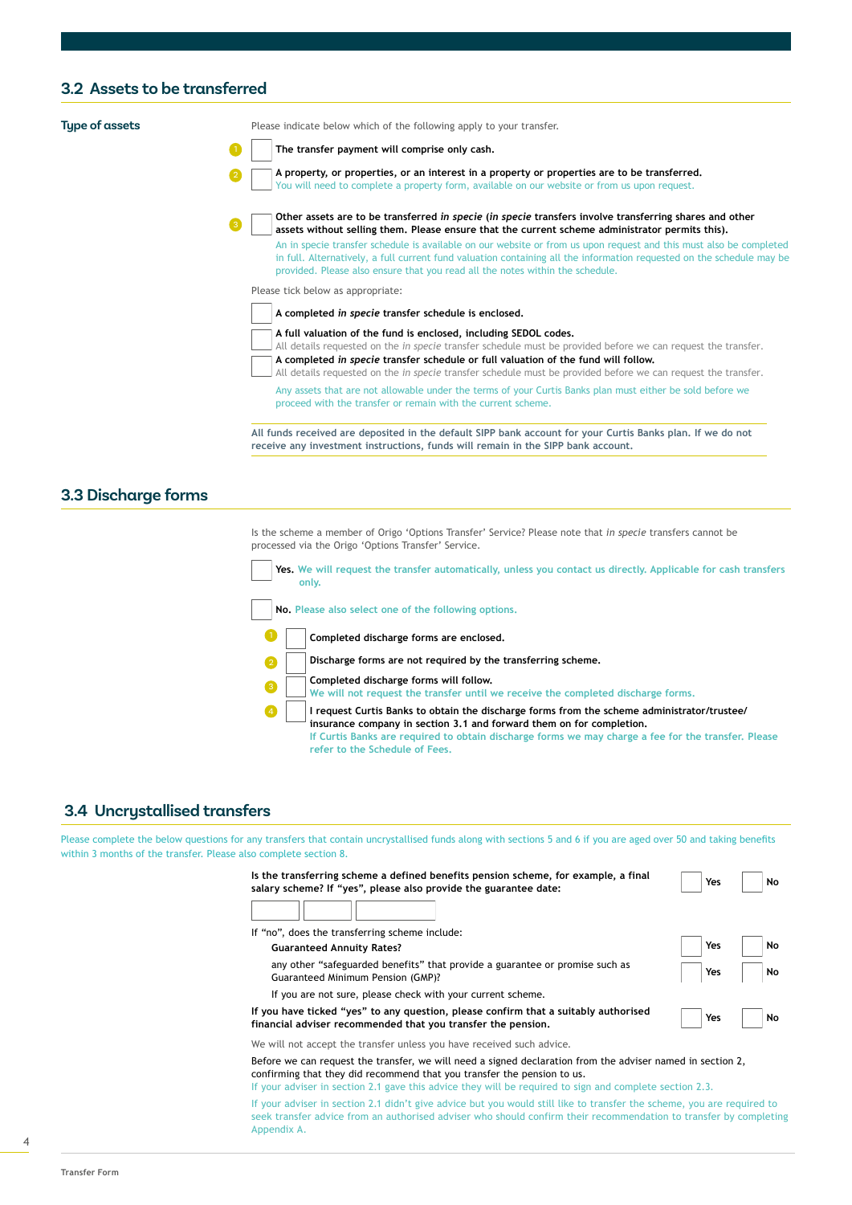#### **3.2 Assets to be transferred**

**Type of assets** Please indicate below which of the following apply to your transfer.

**The transfer payment will comprise only cash.**



You will need to complete a property form, available on our website or from us upon request. **Other assets are to be transferred** *in specie* **(***in specie* **transfers involve transferring shares and other** 

**A property, or properties, or an interest in a property or properties are to be transferred.** 

**assets without selling them. Please ensure that the current scheme administrator permits this).** An in specie transfer schedule is available on our website or from us upon request and this must also be completed in full. Alternatively, a full current fund valuation containing all the information requested on the schedule may be provided. Please also ensure that you read all the notes within the schedule.

Please tick below as appropriate:

**A completed** *in specie* **transfer schedule is enclosed.**

**A full valuation of the fund is enclosed, including SEDOL codes.**

All details requested on the *in specie* transfer schedule must be provided before we can request the transfer. **A completed** *in specie* **transfer schedule or full valuation of the fund will follow.**

All details requested on the *in specie* transfer schedule must be provided before we can request the transfer. Any assets that are not allowable under the terms of your Curtis Banks plan must either be sold before we proceed with the transfer or remain with the current scheme.

**All funds received are deposited in the default SIPP bank account for your Curtis Banks plan. If we do not receive any investment instructions, funds will remain in the SIPP bank account.**

#### **3.3 Discharge forms**

Is the scheme a member of Origo 'Options Transfer' Service? Please note that *in specie* transfers cannot be processed via the Origo 'Options Transfer' Service.

**Yes. We will request the transfer automatically, unless you contact us directly. Applicable for cash transfers only.**

**No. Please also select one of the following options.**



**Discharge forms are not required by the transferring scheme.**



**Completed discharge forms will follow. We will not request the transfer until we receive the completed discharge forms.**

**I request Curtis Banks to obtain the discharge forms from the scheme administrator/trustee/ insurance company in section 3.1 and forward them on for completion. If Curtis Banks are required to obtain discharge forms we may charge a fee for the transfer. Please refer to the Schedule of Fees.**

#### **3.4 Uncrystallised transfers**

Please complete the below questions for any transfers that contain uncrystallised funds along with sections 5 and 6 if you are aged over 50 and taking benefits within 3 months of the transfer. Please also complete section 8.

| Is the transferring scheme a defined benefits pension scheme, for example, a final<br>salary scheme? If "yes", please also provide the guarantee date: | Yes | No |
|--------------------------------------------------------------------------------------------------------------------------------------------------------|-----|----|
|                                                                                                                                                        |     |    |
| If "no", does the transferring scheme include:                                                                                                         |     |    |
| <b>Guaranteed Annuity Rates?</b>                                                                                                                       | Yes | No |
| any other "safeguarded benefits" that provide a guarantee or promise such as<br>Guaranteed Minimum Pension (GMP)?                                      | Yes | No |
| If you are not sure, please check with your current scheme.                                                                                            |     |    |
| If you have ticked "yes" to any question, please confirm that a suitably authorised<br>financial adviser recommended that you transfer the pension,    | Yes | No |
| We will not accept the transfer unless you have received such advice.                                                                                  |     |    |

Before we can request the transfer, we will need a signed declaration from the adviser named in section 2, confirming that they did recommend that you transfer the pension to us.

If your adviser in section 2.1 gave this advice they will be required to sign and complete section 2.3.

If your adviser in section 2.1 didn't give advice but you would still like to transfer the scheme, you are required to seek transfer advice from an authorised adviser who should confirm their recommendation to transfer by completing Appendix A.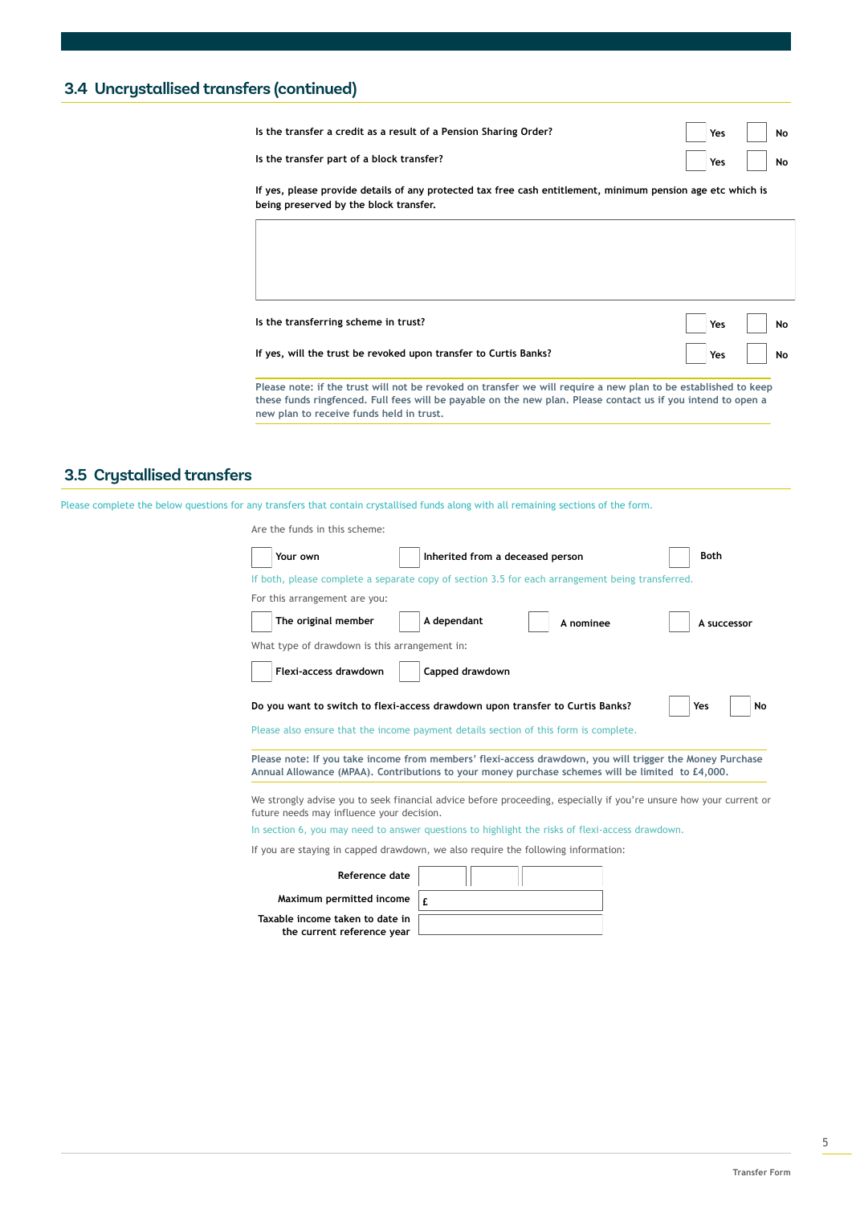### **3.4 Uncrystallised transfers (continued)**

| Is the transfer a credit as a result of a Pension Sharing Order?                                                                                      | Yes | No |
|-------------------------------------------------------------------------------------------------------------------------------------------------------|-----|----|
| Is the transfer part of a block transfer?                                                                                                             | Yes | No |
| If yes, please provide details of any protected tax free cash entitlement, minimum pension age etc which is<br>being preserved by the block transfer. |     |    |
|                                                                                                                                                       |     |    |
|                                                                                                                                                       |     |    |
|                                                                                                                                                       |     |    |
| Is the transferring scheme in trust?                                                                                                                  | Yes | No |

**If yes, will the trust be revoked upon transfer to Curtis Banks?**

**Please note: if the trust will not be revoked on transfer we will require a new plan to be established to keep these funds ringfenced. Full fees will be payable on the new plan. Please contact us if you intend to open a new plan to receive funds held in trust.**

#### **3.5 Crystallised transfers**

Please complete the below questions for any transfers that contain crystallised funds along with all remaining sections of the form.

| Are the funds in this scheme:                 |                                                                                                                                                                       |                                                                                                                    |
|-----------------------------------------------|-----------------------------------------------------------------------------------------------------------------------------------------------------------------------|--------------------------------------------------------------------------------------------------------------------|
| Your own                                      | Inherited from a deceased person                                                                                                                                      | <b>Both</b>                                                                                                        |
|                                               | If both, please complete a separate copy of section 3.5 for each arrangement being transferred.                                                                       |                                                                                                                    |
| For this arrangement are you:                 |                                                                                                                                                                       |                                                                                                                    |
| The original member                           | A dependant<br>A nominee                                                                                                                                              | A successor                                                                                                        |
| What type of drawdown is this arrangement in: |                                                                                                                                                                       |                                                                                                                    |
| Flexi-access drawdown                         | Capped drawdown                                                                                                                                                       |                                                                                                                    |
|                                               | Do you want to switch to flexi-access drawdown upon transfer to Curtis Banks?<br>Please also ensure that the income payment details section of this form is complete. | Yes<br>No                                                                                                          |
|                                               | Annual Allowance (MPAA). Contributions to your money purchase schemes will be limited to £4,000.                                                                      | Please note: If you take income from members' flexi-access drawdown, you will trigger the Money Purchase           |
| future needs may influence your decision.     |                                                                                                                                                                       | We strongly advise you to seek financial advice before proceeding, especially if you're unsure how your current or |
|                                               | In section 6, you may need to answer questions to highlight the risks of flexi-access drawdown.                                                                       |                                                                                                                    |
|                                               | If you are staying in capped drawdown, we also require the following information:                                                                                     |                                                                                                                    |
| Reference date                                |                                                                                                                                                                       |                                                                                                                    |
| Maximum permitted income                      | f                                                                                                                                                                     |                                                                                                                    |

| Reference date                                                |  |
|---------------------------------------------------------------|--|
| Maximum permitted income                                      |  |
| Taxable income taken to date in<br>the current reference year |  |

**Yes No**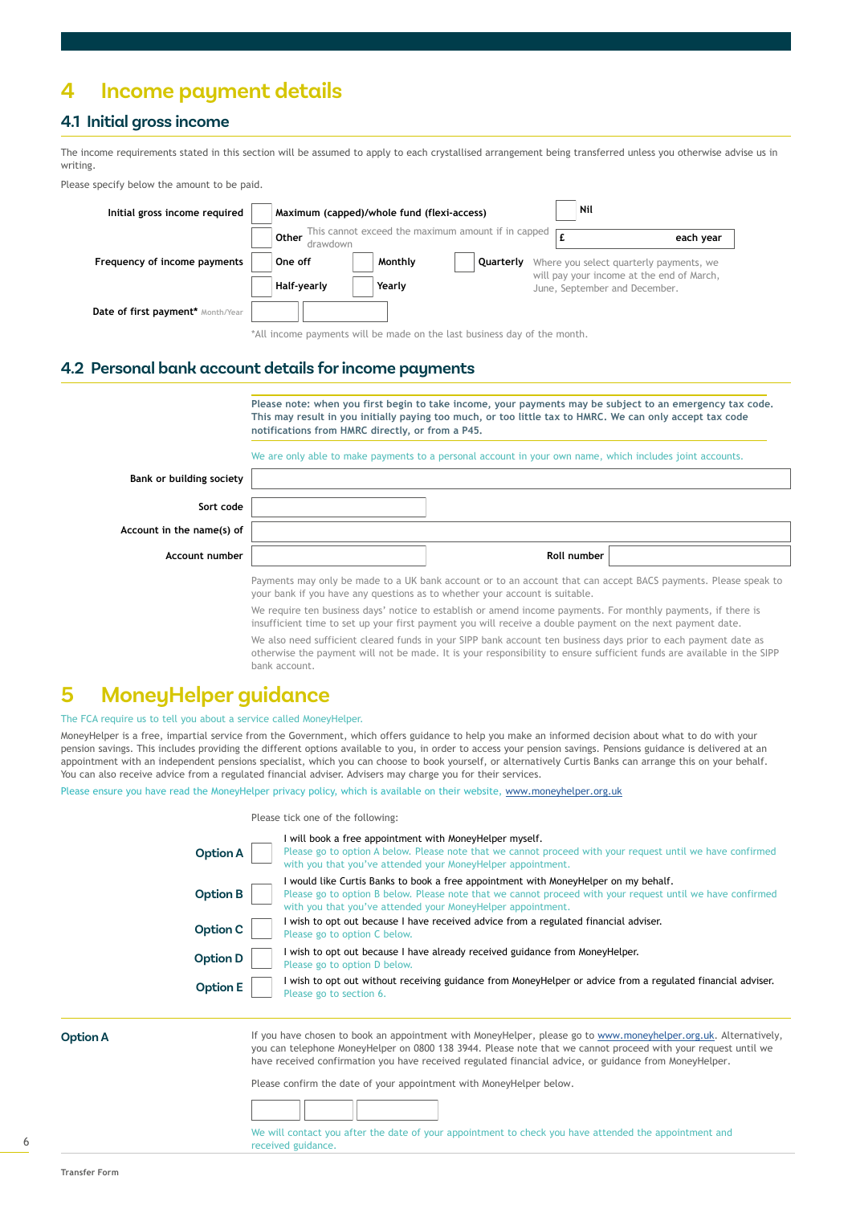## **4 Income payment details**

### **4.1 Initial gross income**

The income requirements stated in this section will be assumed to apply to each crystallised arrangement being transferred unless you otherwise advise us in writing.

Please specify below the amount to be paid.



\*All income payments will be made on the last business day of the month.

#### **4.2 Personal bank account details for income payments**

**Please note: when you first begin to take income, your payments may be subject to an emergency tax code. This may result in you initially paying too much, or too little tax to HMRC. We can only accept tax code notifications from HMRC directly, or from a P45.**

We are only able to make payments to a personal account in your own name, which includes joint accounts.

| Bank or building society  |             |  |
|---------------------------|-------------|--|
| Sort code                 |             |  |
| Account in the name(s) of |             |  |
| Account number            | Roll number |  |

Payments may only be made to a UK bank account or to an account that can accept BACS payments. Please speak to your bank if you have any questions as to whether your account is suitable.

We require ten business days' notice to establish or amend income payments. For monthly payments, if there is insufficient time to set up your first payment you will receive a double payment on the next payment date.

We also need sufficient cleared funds in your SIPP bank account ten business days prior to each payment date as otherwise the payment will not be made. It is your responsibility to ensure sufficient funds are available in the SIPP bank account.

## **5 MoneyHelper guidance**

The FCA require us to tell you about a service called MoneyHelper.

MoneyHelper is a free, impartial service from the Government, which offers guidance to help you make an informed decision about what to do with your pension savings. This includes providing the different options available to you, in order to access your pension savings. Pensions guidance is delivered at an appointment with an independent pensions specialist, which you can choose to book yourself, or alternatively Curtis Banks can arrange this on your behalf. You can also receive advice from a regulated financial adviser. Advisers may charge you for their services.

Please ensure you have read the MoneyHelper privacy policy, which is available on their website, [www.moneyhelper.org.uk](https://www.moneyhelper.org.uk/en/pensions-and-retirement/pension-wise/book-a-free-pension-wise-appointment/how-to-book-a-phone-appointment)

#### Please tick one of the following:

| <b>Option A</b> | I will book a free appointment with MoneyHelper myself.<br>Please go to option A below. Please note that we cannot proceed with your request until we have confirmed<br>with you that you've attended your MoneyHelper appointment.                             |
|-----------------|-----------------------------------------------------------------------------------------------------------------------------------------------------------------------------------------------------------------------------------------------------------------|
| <b>Option B</b> | I would like Curtis Banks to book a free appointment with MoneyHelper on my behalf.<br>Please go to option B below. Please note that we cannot proceed with your request until we have confirmed<br>with you that you've attended your MoneyHelper appointment. |
| Option C        | I wish to opt out because I have received advice from a regulated financial adviser.<br>Please go to option C below.                                                                                                                                            |
| <b>Option D</b> | I wish to opt out because I have already received guidance from MoneyHelper.<br>Please go to option D below.                                                                                                                                                    |
| <b>Option E</b> | I wish to opt out without receiving guidance from MoneyHelper or advice from a regulated financial adviser.<br>Please go to section 6.                                                                                                                          |

**Option A**

If you have chosen to book an appointment with MoneyHelper, please go to [www.moneyhelper.org.uk](https://www.moneyhelper.org.uk/en/pensions-and-retirement/pension-wise/book-a-free-pension-wise-appointment/how-to-book-a-phone-appointment). Alternatively, you can telephone MoneyHelper on 0800 138 3944. Please note that we cannot proceed with your request until we have received confirmation you have received regulated financial advice, or guidance from MoneyHelper.

Please confirm the date of your appointment with MoneyHelper below.



We will contact you after the date of your appointment to check you have attended the appointment and received guidance.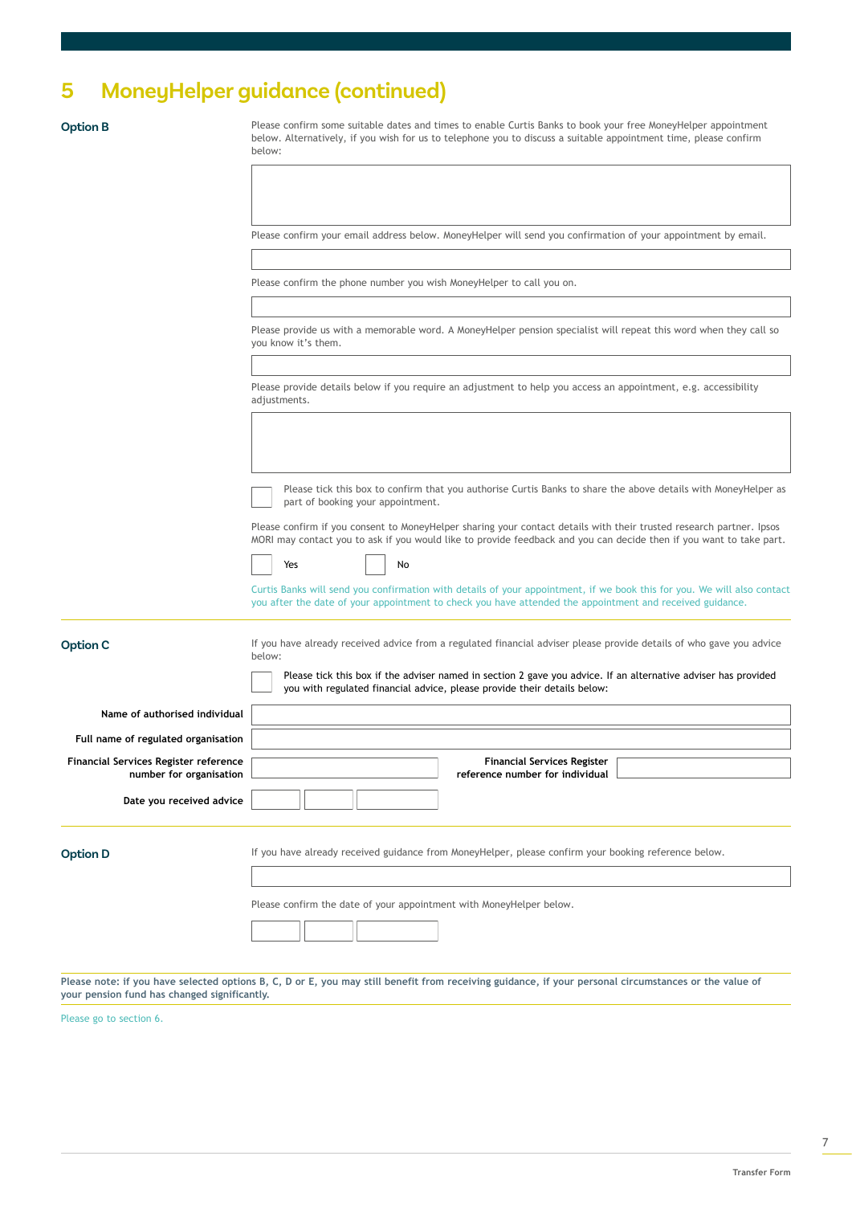# **5 MoneyHelper guidance (continued)**

**Option B** Please confirm some suitable dates and times to enable Curtis Banks to book your free MoneyHelper appointment below. Alternatively, if you wish for us to telephone you to discuss a suitable appointment time, please confirm below:

Please confirm your email address below. MoneyHelper will send you confirmation of your appointment by email.

Please confirm the phone number you wish MoneyHelper to call you on.

Please provide us with a memorable word. A MoneyHelper pension specialist will repeat this word when they call so you know it's them.

Please provide details below if you require an adjustment to help you access an appointment, e.g. accessibility adjustments.

Please tick this box to confirm that you authorise Curtis Banks to share the above details with MoneyHelper as part of booking your appointment.

Please confirm if you consent to MoneyHelper sharing your contact details with their trusted research partner. Ipsos MORI may contact you to ask if you would like to provide feedback and you can decide then if you want to take part.

| Yes |  | No |
|-----|--|----|
|     |  |    |

Curtis Banks will send you confirmation with details of your appointment, if we book this for you. We will also contact you after the date of your appointment to check you have attended the appointment and received guidance.

| <b>Option C</b>                                                         | If you have already received advice from a regulated financial adviser please provide details of who gave you advice<br>below:<br>Please tick this box if the adviser named in section 2 gave you advice. If an alternative adviser has provided<br>you with regulated financial advice, please provide their details below: |
|-------------------------------------------------------------------------|------------------------------------------------------------------------------------------------------------------------------------------------------------------------------------------------------------------------------------------------------------------------------------------------------------------------------|
| Name of authorised individual                                           |                                                                                                                                                                                                                                                                                                                              |
| Full name of regulated organisation                                     |                                                                                                                                                                                                                                                                                                                              |
| <b>Financial Services Register reference</b><br>number for organisation | <b>Financial Services Register</b><br>reference number for individual                                                                                                                                                                                                                                                        |
| Date you received advice                                                |                                                                                                                                                                                                                                                                                                                              |
| <b>Option D</b>                                                         | If you have already received guidance from MoneyHelper, please confirm your booking reference below.                                                                                                                                                                                                                         |
|                                                                         | Please confirm the date of your appointment with MoneyHelper below.                                                                                                                                                                                                                                                          |

**Please note: if you have selected options B, C, D or E, you may still benefit from receiving guidance, if your personal circumstances or the value of your pension fund has changed significantly.**

Please go to section 6.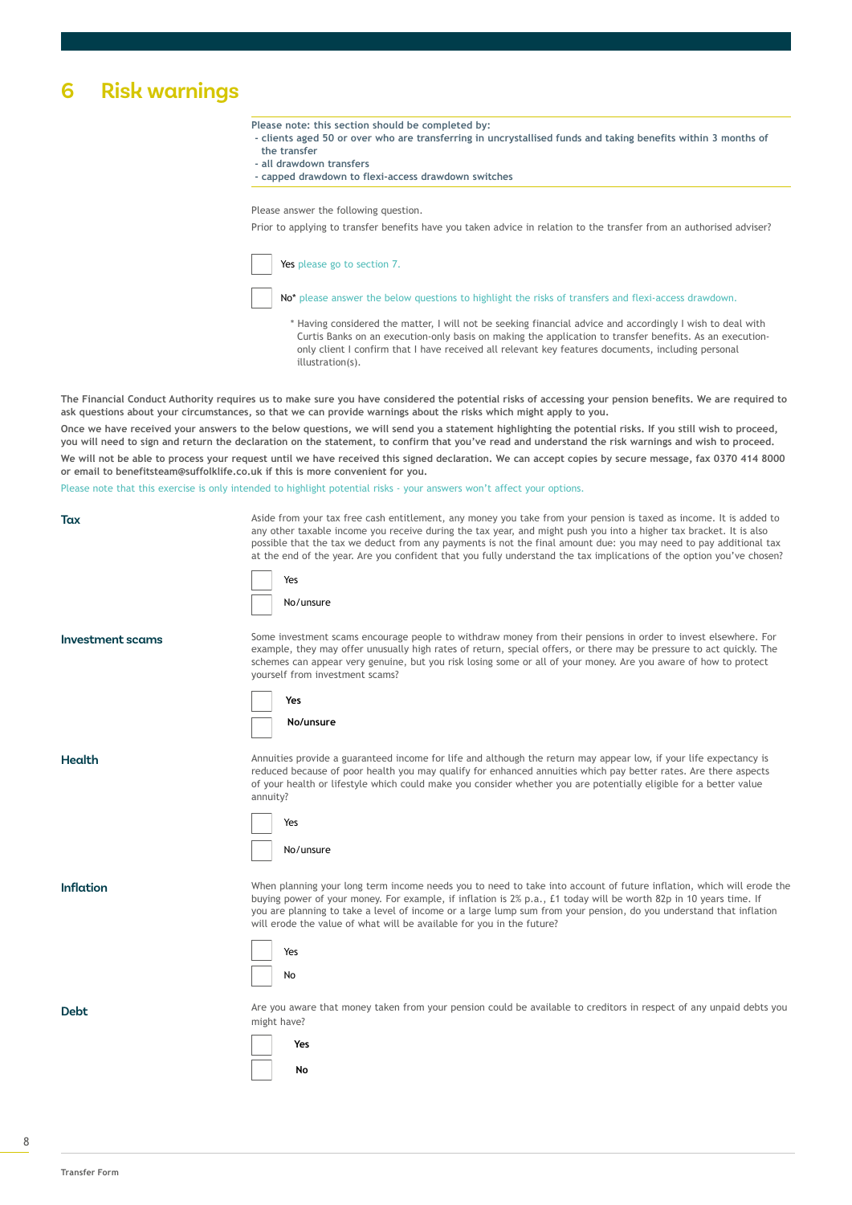# **6 Risk warnings**

**Please note: this section should be completed by:** 

- **clients aged 50 or over who are transferring in uncrystallised funds and taking benefits within 3 months of the transfer**
- **all drawdown transfers**
- **capped drawdown to flexi-access drawdown switches**

Please answer the following question.

Prior to applying to transfer benefits have you taken advice in relation to the transfer from an authorised adviser?

Yes please go to section 7.

No<sup>\*</sup> please answer the below questions to highlight the risks of transfers and flexi-access drawdown.

 \* Having considered the matter, I will not be seeking financial advice and accordingly I wish to deal with Curtis Banks on an execution-only basis on making the application to transfer benefits. As an execution only client I confirm that I have received all relevant key features documents, including personal illustration(s).

**The Financial Conduct Authority requires us to make sure you have considered the potential risks of accessing your pension benefits. We are required to ask questions about your circumstances, so that we can provide warnings about the risks which might apply to you.**

**Once we have received your answers to the below questions, we will send you a statement highlighting the potential risks. If you still wish to proceed, you will need to sign and return the declaration on the statement, to confirm that you've read and understand the risk warnings and wish to proceed. We will not be able to process your request until we have received this signed declaration. We can accept copies by secure message, fax 0370 414 8000 or email to benefitsteam@suffolklife.co.uk if this is more convenient for you.**

Please note that this exercise is only intended to highlight potential risks - your answers won't affect your options.

Tax **Tax** Aside from your tax free cash entitlement, any money you take from your pension is taxed as income. It is added to any other taxable income you receive during the tax year, and might push you into a higher tax bracket. It is also possible that the tax we deduct from any payments is not the final amount due: you may need to pay additional tax at the end of the year. Are you confident that you fully understand the tax implications of the option you've chosen?

| Yes       |
|-----------|
| No/unsure |

**Investment scams** Some investment scams encourage people to withdraw money from their pensions in order to invest elsewhere. For example, they may offer unusually high rates of return, special offers, or there may be pressure to act quickly. The schemes can appear very genuine, but you risk losing some or all of your money. Are you aware of how to protect yourself from investment scams?



**Health**

Annuities provide a guaranteed income for life and although the return may appear low, if your life expectancy is reduced because of poor health you may qualify for enhanced annuities which pay better rates. Are there aspects of your health or lifestyle which could make you consider whether you are potentially eligible for a better value annuity?

| Yes       |
|-----------|
| No/unsure |

Inflation **Standard When planning your long term income needs you to need to take into account of future inflation, which will erode the** buying power of your money. For example, if inflation is 2% p.a., £1 today will be worth 82p in 10 years time. If you are planning to take a level of income or a large lump sum from your pension, do you understand that inflation will erode the value of what will be available for you in the future?



Debt Are you aware that money taken from your pension could be available to creditors in respect of any unpaid debts you might have?

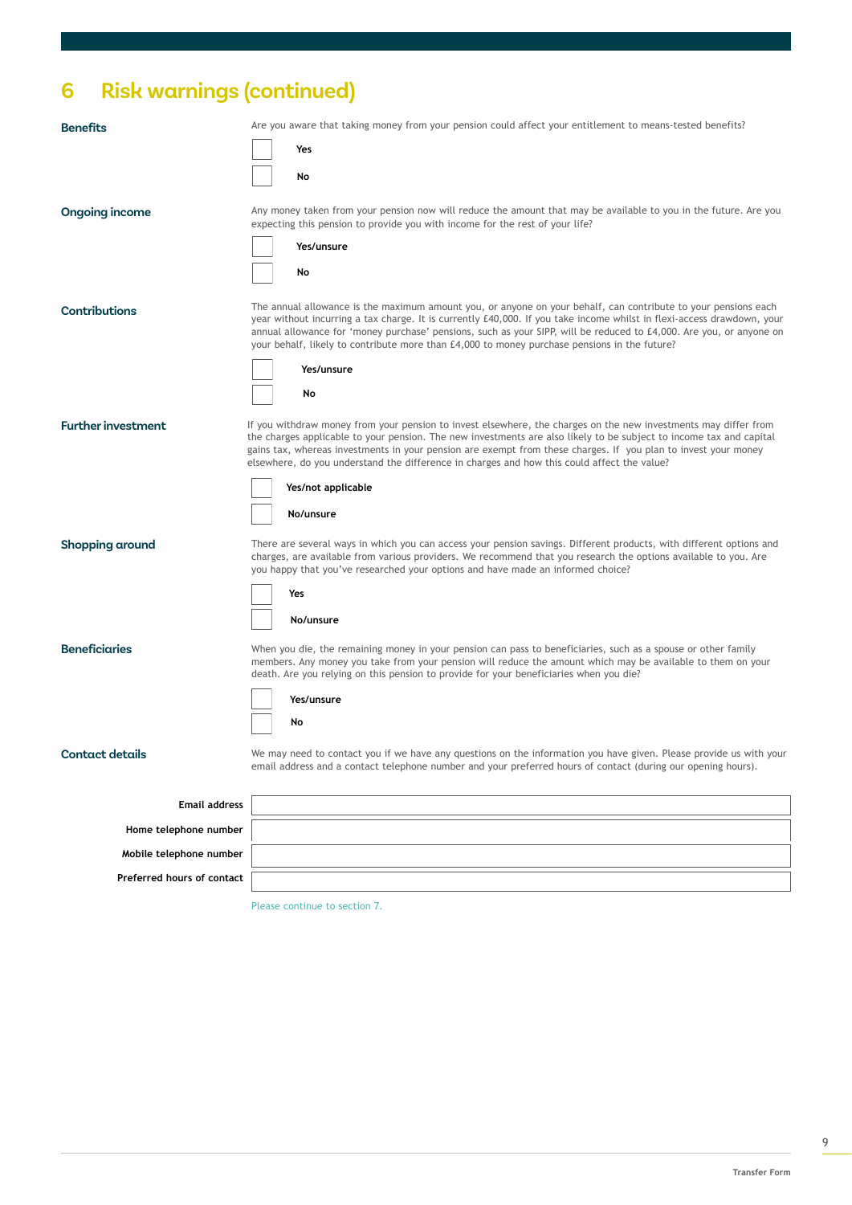# **6 Risk warnings (continued)**

| <b>Benefits</b>            | Are you aware that taking money from your pension could affect your entitlement to means-tested benefits?                                                                                                                                                                                                                                                                                                                                                       |
|----------------------------|-----------------------------------------------------------------------------------------------------------------------------------------------------------------------------------------------------------------------------------------------------------------------------------------------------------------------------------------------------------------------------------------------------------------------------------------------------------------|
|                            | Yes                                                                                                                                                                                                                                                                                                                                                                                                                                                             |
|                            | No                                                                                                                                                                                                                                                                                                                                                                                                                                                              |
| <b>Ongoing income</b>      | Any money taken from your pension now will reduce the amount that may be available to you in the future. Are you<br>expecting this pension to provide you with income for the rest of your life?                                                                                                                                                                                                                                                                |
|                            | Yes/unsure                                                                                                                                                                                                                                                                                                                                                                                                                                                      |
|                            | No                                                                                                                                                                                                                                                                                                                                                                                                                                                              |
| Contributions              | The annual allowance is the maximum amount you, or anyone on your behalf, can contribute to your pensions each<br>year without incurring a tax charge. It is currently £40,000. If you take income whilst in flexi-access drawdown, your<br>annual allowance for 'money purchase' pensions, such as your SIPP, will be reduced to £4,000. Are you, or anyone on<br>your behalf, likely to contribute more than £4,000 to money purchase pensions in the future? |
|                            | Yes/unsure                                                                                                                                                                                                                                                                                                                                                                                                                                                      |
|                            | No                                                                                                                                                                                                                                                                                                                                                                                                                                                              |
| <b>Further investment</b>  | If you withdraw money from your pension to invest elsewhere, the charges on the new investments may differ from<br>the charges applicable to your pension. The new investments are also likely to be subject to income tax and capital<br>gains tax, whereas investments in your pension are exempt from these charges. If you plan to invest your money<br>elsewhere, do you understand the difference in charges and how this could affect the value?         |
|                            | Yes/not applicable                                                                                                                                                                                                                                                                                                                                                                                                                                              |
|                            | No/unsure                                                                                                                                                                                                                                                                                                                                                                                                                                                       |
| Shopping around            | There are several ways in which you can access your pension savings. Different products, with different options and<br>charges, are available from various providers. We recommend that you research the options available to you. Are<br>you happy that you've researched your options and have made an informed choice?                                                                                                                                       |
|                            | Yes                                                                                                                                                                                                                                                                                                                                                                                                                                                             |
|                            | No/unsure                                                                                                                                                                                                                                                                                                                                                                                                                                                       |
| <b>Beneficiaries</b>       | When you die, the remaining money in your pension can pass to beneficiaries, such as a spouse or other family<br>members. Any money you take from your pension will reduce the amount which may be available to them on your<br>death. Are you relying on this pension to provide for your beneficiaries when you die?                                                                                                                                          |
|                            | Yes/unsure                                                                                                                                                                                                                                                                                                                                                                                                                                                      |
|                            | No                                                                                                                                                                                                                                                                                                                                                                                                                                                              |
| <b>Contact details</b>     | We may need to contact you if we have any questions on the information you have given. Please provide us with your<br>email address and a contact telephone number and your preferred hours of contact (during our opening hours).                                                                                                                                                                                                                              |
| <b>Email address</b>       |                                                                                                                                                                                                                                                                                                                                                                                                                                                                 |
| Home telephone number      |                                                                                                                                                                                                                                                                                                                                                                                                                                                                 |
| Mobile telephone number    |                                                                                                                                                                                                                                                                                                                                                                                                                                                                 |
| Preferred hours of contact |                                                                                                                                                                                                                                                                                                                                                                                                                                                                 |

Please continue to section 7.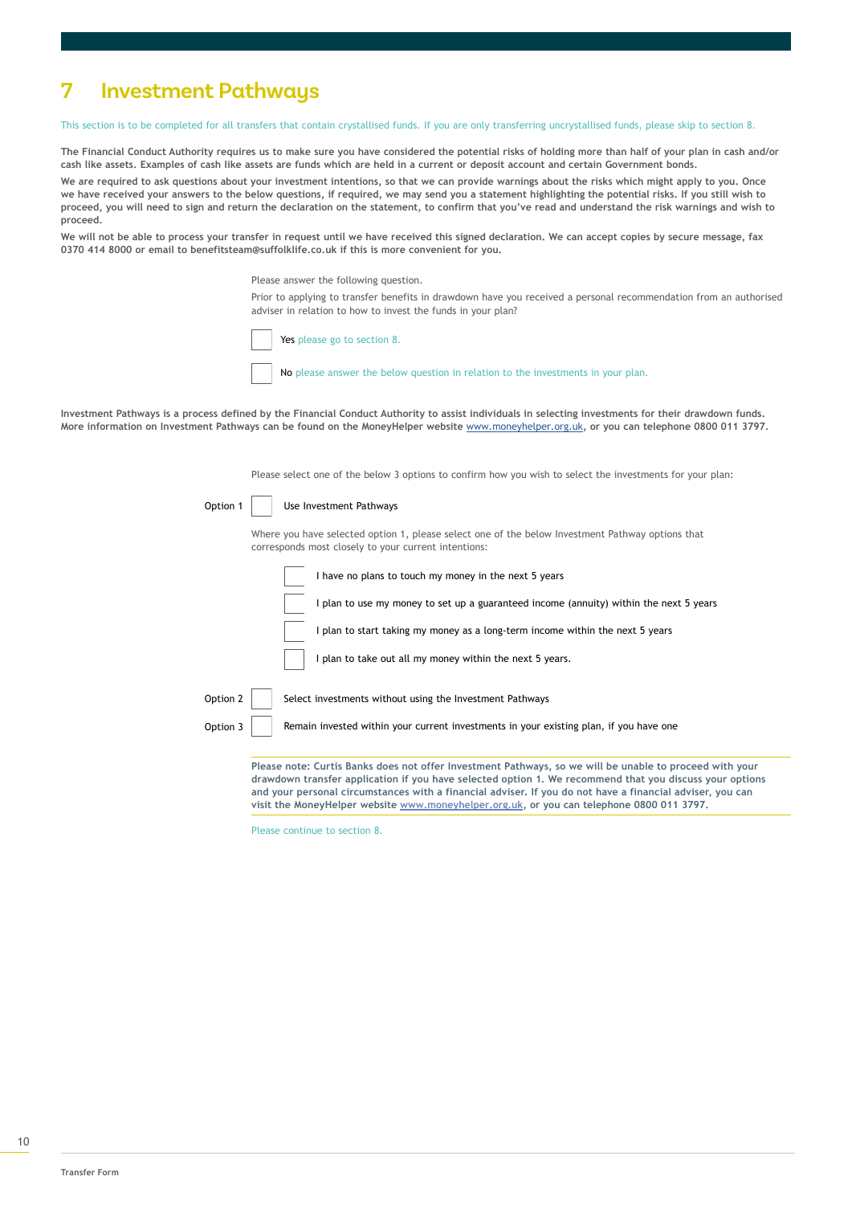# **7 Investment Pathways**

This section is to be completed for all transfers that contain crystallised funds. If you are only transferring uncrystallised funds, please skip to section 8.

**The Financial Conduct Authority requires us to make sure you have considered the potential risks of holding more than half of your plan in cash and/or cash like assets. Examples of cash like assets are funds which are held in a current or deposit account and certain Government bonds.**

**We are required to ask questions about your investment intentions, so that we can provide warnings about the risks which might apply to you. Once we have received your answers to the below questions, if required, we may send you a statement highlighting the potential risks. If you still wish to proceed, you will need to sign and return the declaration on the statement, to confirm that you've read and understand the risk warnings and wish to proceed.**

**We will not be able to process your transfer in request until we have received this signed declaration. We can accept copies by secure message, fax 0370 414 8000 or email to benefitsteam@suffolklife.co.uk if this is more convenient for you.**

Please answer the following question.

Prior to applying to transfer benefits in drawdown have you received a personal recommendation from an authorised adviser in relation to how to invest the funds in your plan?

Yes please go to section 8.

No please answer the below question in relation to the investments in your plan.

**Investment Pathways is a process defined by the Financial Conduct Authority to assist individuals in selecting investments for their drawdown funds. More information on Investment Pathways can be found on the MoneyHelper website** [www.moneyhelper.org.uk](https://www.moneyhelper.org.uk/en/pensions-and-retirement/pension-wise/book-a-free-pension-wise-appointment/how-to-book-a-phone-appointment)**, or you can telephone 0800 011 3797.**

Please select one of the below 3 options to confirm how you wish to select the investments for your plan:

| Option 1 | Use Investment Pathways |
|----------|-------------------------|
|          |                         |

Where you have selected option 1, please select one of the below Investment Pathway options that corresponds most closely to your current intentions:

|          | I have no plans to touch my money in the next 5 years                                  |
|----------|----------------------------------------------------------------------------------------|
|          | I plan to use my money to set up a guaranteed income (annuity) within the next 5 years |
|          | I plan to start taking my money as a long-term income within the next 5 years          |
|          | I plan to take out all my money within the next 5 years.                               |
| Option 2 | Select investments without using the Investment Pathways                               |
| Option 3 | Remain invested within your current investments in your existing plan, if you have one |
|          |                                                                                        |

**Please note: Curtis Banks does not offer Investment Pathways, so we will be unable to proceed with your drawdown transfer application if you have selected option 1. We recommend that you discuss your options and your personal circumstances with a financial adviser. If you do not have a financial adviser, you can visit the MoneyHelper website [www.moneyhelper.org.uk,](https://www.moneyhelper.org.uk/en/pensions-and-retirement/pension-wise/book-a-free-pension-wise-appointment/how-to-book-a-phone-appointment) or you can telephone 0800 011 3797.**

Please continue to section 8.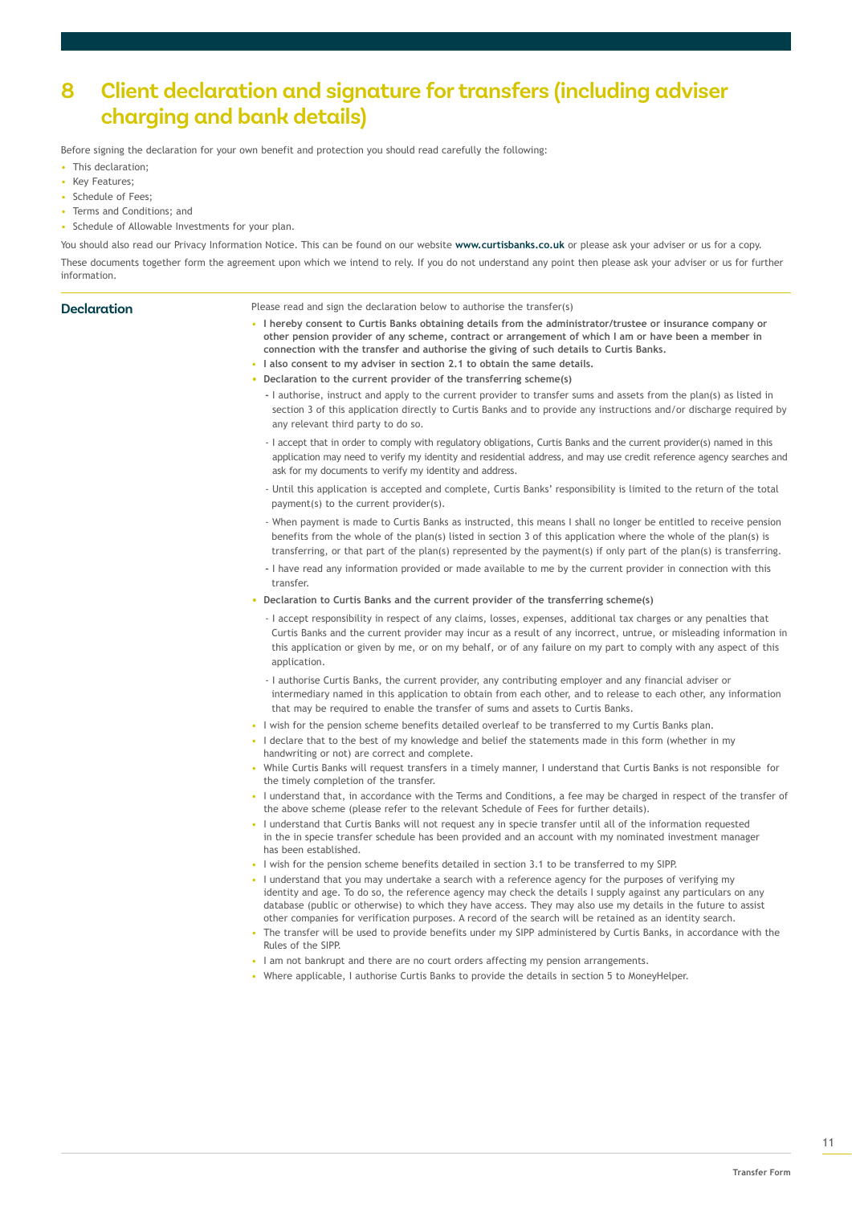# **8 Client declaration and signature for transfers (including adviser charging and bank details)**

Before signing the declaration for your own benefit and protection you should read carefully the following:

- This declaration:
- Key Features;
- Schedule of Fees;
- Terms and Conditions; and
- Schedule of Allowable Investments for your plan.

You should also read our Privacy Information Notice. This can be found on our website **www.curtisbanks.co.uk** or please ask your adviser or us for a copy. These documents together form the agreement upon which we intend to rely. If you do not understand any point then please ask your adviser or us for further information.

| <b>Declaration</b> | Please read and sign the declaration below to authorise the transfer(s)                                                                                                                                                                                                                                       |
|--------------------|---------------------------------------------------------------------------------------------------------------------------------------------------------------------------------------------------------------------------------------------------------------------------------------------------------------|
|                    | . I hereby consent to Curtis Banks obtaining details from the administrator/trustee or insurance company or<br>other pension provider of any scheme, contract or arrangement of which I am or have been a member in<br>connection with the transfer and authorise the giving of such details to Curtis Banks, |
|                    | . I also consent to my adviser in section 2.1 to obtain the same details.                                                                                                                                                                                                                                     |
|                    | • Declaration to the current provider of the transferring scheme(s)                                                                                                                                                                                                                                           |
|                    | - authorise, instruct and apply to the current provider to transfer sums and assets from the plan(s) as listed in<br>section 3 of this application directly to Curtis Banks and to provide any instructions and/or discharge required by<br>any relevant third party to do so.                                |
|                    | - I accept that in order to comply with regulatory obligations, Curtis Banks and the current provider(s) named in this<br>application may need to verify my identity and residential address, and may use credit reference agency searches and                                                                |

ask for my documents to verify my identity and address.

- Until this application is accepted and complete, Curtis Banks' responsibility is limited to the return of the total payment(s) to the current provider(s).
- When payment is made to Curtis Banks as instructed, this means I shall no longer be entitled to receive pension benefits from the whole of the plan(s) listed in section 3 of this application where the whole of the plan(s) is transferring, or that part of the plan(s) represented by the payment(s) if only part of the plan(s) is transferring.
- 
- I have read any information provided or made available to me by the current provider in connection with this transfer.
- **Declaration to Curtis Banks and the current provider of the transferring scheme(s)**
	- I accept responsibility in respect of any claims, losses, expenses, additional tax charges or any penalties that Curtis Banks and the current provider may incur as a result of any incorrect, untrue, or misleading information in this application or given by me, or on my behalf, or of any failure on my part to comply with any aspect of this application.
	- I authorise Curtis Banks, the current provider, any contributing employer and any financial adviser or intermediary named in this application to obtain from each other, and to release to each other, any information that may be required to enable the transfer of sums and assets to Curtis Banks.
- I wish for the pension scheme benefits detailed overleaf to be transferred to my Curtis Banks plan.
- I declare that to the best of my knowledge and belief the statements made in this form (whether in my handwriting or not) are correct and complete.
- While Curtis Banks will request transfers in a timely manner, I understand that Curtis Banks is not responsible for the timely completion of the transfer.
- I understand that, in accordance with the Terms and Conditions, a fee may be charged in respect of the transfer of the above scheme (please refer to the relevant Schedule of Fees for further details).
- I understand that Curtis Banks will not request any in specie transfer until all of the information requested in the in specie transfer schedule has been provided and an account with my nominated investment manager has been established.
- I wish for the pension scheme benefits detailed in section 3.1 to be transferred to my SIPP.
- I understand that you may undertake a search with a reference agency for the purposes of verifying my identity and age. To do so, the reference agency may check the details I supply against any particulars on any database (public or otherwise) to which they have access. They may also use my details in the future to assist other companies for verification purposes. A record of the search will be retained as an identity search.
- The transfer will be used to provide benefits under my SIPP administered by Curtis Banks, in accordance with the Rules of the SIPP.
- I am not bankrupt and there are no court orders affecting my pension arrangements.
- Where applicable, I authorise Curtis Banks to provide the details in section 5 to MoneyHelper.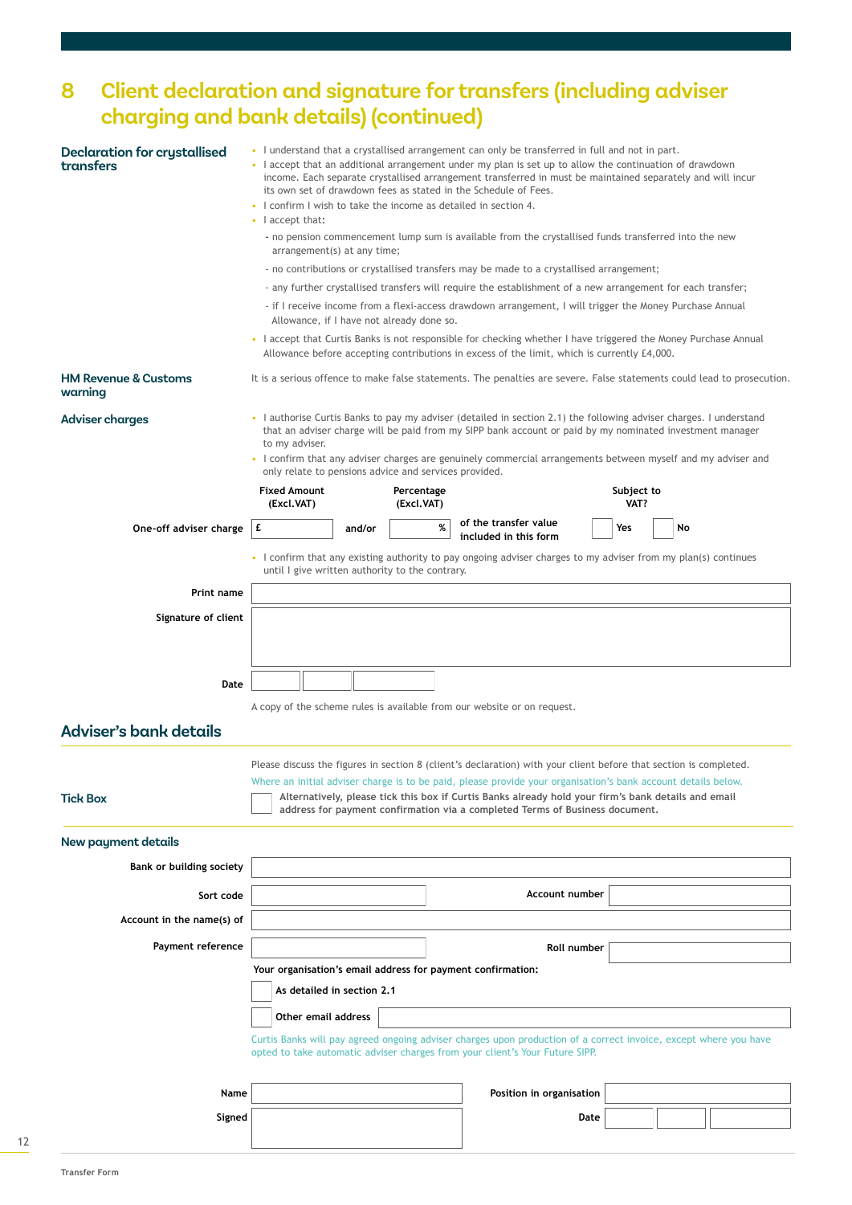# **8 Client declaration and signature for transfers (including adviser charging and bank details) (continued)**

| <b>Declaration for crystallised</b><br>transfers | • I understand that a crystallised arrangement can only be transferred in full and not in part.<br>• I accept that an additional arrangement under my plan is set up to allow the continuation of drawdown<br>income. Each separate crystallised arrangement transferred in must be maintained separately and will incur<br>its own set of drawdown fees as stated in the Schedule of Fees.<br>• I confirm I wish to take the income as detailed in section 4. |        |                          |   |                                                                                                                                                                                                                                    |      |                    |    |  |  |
|--------------------------------------------------|----------------------------------------------------------------------------------------------------------------------------------------------------------------------------------------------------------------------------------------------------------------------------------------------------------------------------------------------------------------------------------------------------------------------------------------------------------------|--------|--------------------------|---|------------------------------------------------------------------------------------------------------------------------------------------------------------------------------------------------------------------------------------|------|--------------------|----|--|--|
|                                                  | $\cdot$   accept that:                                                                                                                                                                                                                                                                                                                                                                                                                                         |        |                          |   |                                                                                                                                                                                                                                    |      |                    |    |  |  |
|                                                  | - no pension commencement lump sum is available from the crystallised funds transferred into the new<br>arrangement(s) at any time;                                                                                                                                                                                                                                                                                                                            |        |                          |   |                                                                                                                                                                                                                                    |      |                    |    |  |  |
|                                                  |                                                                                                                                                                                                                                                                                                                                                                                                                                                                |        |                          |   | - no contributions or crystallised transfers may be made to a crystallised arrangement;                                                                                                                                            |      |                    |    |  |  |
|                                                  | - any further crystallised transfers will require the establishment of a new arrangement for each transfer;                                                                                                                                                                                                                                                                                                                                                    |        |                          |   |                                                                                                                                                                                                                                    |      |                    |    |  |  |
|                                                  | - if I receive income from a flexi-access drawdown arrangement, I will trigger the Money Purchase Annual<br>Allowance, if I have not already done so.                                                                                                                                                                                                                                                                                                          |        |                          |   |                                                                                                                                                                                                                                    |      |                    |    |  |  |
|                                                  | • I accept that Curtis Banks is not responsible for checking whether I have triggered the Money Purchase Annual<br>Allowance before accepting contributions in excess of the limit, which is currently £4,000.                                                                                                                                                                                                                                                 |        |                          |   |                                                                                                                                                                                                                                    |      |                    |    |  |  |
| <b>HM Revenue &amp; Customs</b><br>warning       |                                                                                                                                                                                                                                                                                                                                                                                                                                                                |        |                          |   | It is a serious offence to make false statements. The penalties are severe. False statements could lead to prosecution.                                                                                                            |      |                    |    |  |  |
| <b>Adviser charges</b>                           | to my adviser.                                                                                                                                                                                                                                                                                                                                                                                                                                                 |        |                          |   | • I authorise Curtis Banks to pay my adviser (detailed in section 2.1) the following adviser charges. I understand<br>that an adviser charge will be paid from my SIPP bank account or paid by my nominated investment manager     |      |                    |    |  |  |
|                                                  | only relate to pensions advice and services provided.                                                                                                                                                                                                                                                                                                                                                                                                          |        |                          |   | · I confirm that any adviser charges are genuinely commercial arrangements between myself and my adviser and                                                                                                                       |      |                    |    |  |  |
|                                                  | <b>Fixed Amount</b><br>(Excl.VAT)                                                                                                                                                                                                                                                                                                                                                                                                                              |        | Percentage<br>(Excl.VAT) |   |                                                                                                                                                                                                                                    |      | Subject to<br>VAT? |    |  |  |
| One-off adviser charge                           | £                                                                                                                                                                                                                                                                                                                                                                                                                                                              | and/or |                          | % | of the transfer value<br>included in this form                                                                                                                                                                                     |      | Yes                | No |  |  |
|                                                  | until I give written authority to the contrary.                                                                                                                                                                                                                                                                                                                                                                                                                |        |                          |   | • I confirm that any existing authority to pay ongoing adviser charges to my adviser from my plan(s) continues                                                                                                                     |      |                    |    |  |  |
| <b>Print name</b>                                |                                                                                                                                                                                                                                                                                                                                                                                                                                                                |        |                          |   |                                                                                                                                                                                                                                    |      |                    |    |  |  |
|                                                  |                                                                                                                                                                                                                                                                                                                                                                                                                                                                |        |                          |   |                                                                                                                                                                                                                                    |      |                    |    |  |  |
| Signature of client                              |                                                                                                                                                                                                                                                                                                                                                                                                                                                                |        |                          |   |                                                                                                                                                                                                                                    |      |                    |    |  |  |
|                                                  |                                                                                                                                                                                                                                                                                                                                                                                                                                                                |        |                          |   |                                                                                                                                                                                                                                    |      |                    |    |  |  |
| Date                                             |                                                                                                                                                                                                                                                                                                                                                                                                                                                                |        |                          |   |                                                                                                                                                                                                                                    |      |                    |    |  |  |
|                                                  |                                                                                                                                                                                                                                                                                                                                                                                                                                                                |        |                          |   | A copy of the scheme rules is available from our website or on request.                                                                                                                                                            |      |                    |    |  |  |
| Adviser's bank details                           |                                                                                                                                                                                                                                                                                                                                                                                                                                                                |        |                          |   |                                                                                                                                                                                                                                    |      |                    |    |  |  |
|                                                  |                                                                                                                                                                                                                                                                                                                                                                                                                                                                |        |                          |   |                                                                                                                                                                                                                                    |      |                    |    |  |  |
|                                                  |                                                                                                                                                                                                                                                                                                                                                                                                                                                                |        |                          |   | Please discuss the figures in section 8 (client's declaration) with your client before that section is completed.<br>Where an initial adviser charge is to be paid, please provide your organisation's bank account details below. |      |                    |    |  |  |
| <b>Tick Box</b>                                  |                                                                                                                                                                                                                                                                                                                                                                                                                                                                |        |                          |   | Alternatively, please tick this box if Curtis Banks already hold your firm's bank details and email<br>address for payment confirmation via a completed Terms of Business document.                                                |      |                    |    |  |  |
| New payment details                              |                                                                                                                                                                                                                                                                                                                                                                                                                                                                |        |                          |   |                                                                                                                                                                                                                                    |      |                    |    |  |  |
| Bank or building society                         |                                                                                                                                                                                                                                                                                                                                                                                                                                                                |        |                          |   |                                                                                                                                                                                                                                    |      |                    |    |  |  |
| Sort code                                        |                                                                                                                                                                                                                                                                                                                                                                                                                                                                |        |                          |   | <b>Account number</b>                                                                                                                                                                                                              |      |                    |    |  |  |
| Account in the name(s) of                        |                                                                                                                                                                                                                                                                                                                                                                                                                                                                |        |                          |   |                                                                                                                                                                                                                                    |      |                    |    |  |  |
| Payment reference                                |                                                                                                                                                                                                                                                                                                                                                                                                                                                                |        |                          |   |                                                                                                                                                                                                                                    |      |                    |    |  |  |
|                                                  | Roll number<br>Your organisation's email address for payment confirmation:                                                                                                                                                                                                                                                                                                                                                                                     |        |                          |   |                                                                                                                                                                                                                                    |      |                    |    |  |  |
|                                                  | As detailed in section 2.1                                                                                                                                                                                                                                                                                                                                                                                                                                     |        |                          |   |                                                                                                                                                                                                                                    |      |                    |    |  |  |
|                                                  |                                                                                                                                                                                                                                                                                                                                                                                                                                                                |        |                          |   |                                                                                                                                                                                                                                    |      |                    |    |  |  |
|                                                  | Other email address                                                                                                                                                                                                                                                                                                                                                                                                                                            |        |                          |   |                                                                                                                                                                                                                                    |      |                    |    |  |  |
|                                                  |                                                                                                                                                                                                                                                                                                                                                                                                                                                                |        |                          |   | Curtis Banks will pay agreed ongoing adviser charges upon production of a correct invoice, except where you have<br>opted to take automatic adviser charges from your client's Your Future SIPP.                                   |      |                    |    |  |  |
| Name                                             |                                                                                                                                                                                                                                                                                                                                                                                                                                                                |        |                          |   | Position in organisation                                                                                                                                                                                                           |      |                    |    |  |  |
| Signed                                           |                                                                                                                                                                                                                                                                                                                                                                                                                                                                |        |                          |   |                                                                                                                                                                                                                                    | Date |                    |    |  |  |
|                                                  |                                                                                                                                                                                                                                                                                                                                                                                                                                                                |        |                          |   |                                                                                                                                                                                                                                    |      |                    |    |  |  |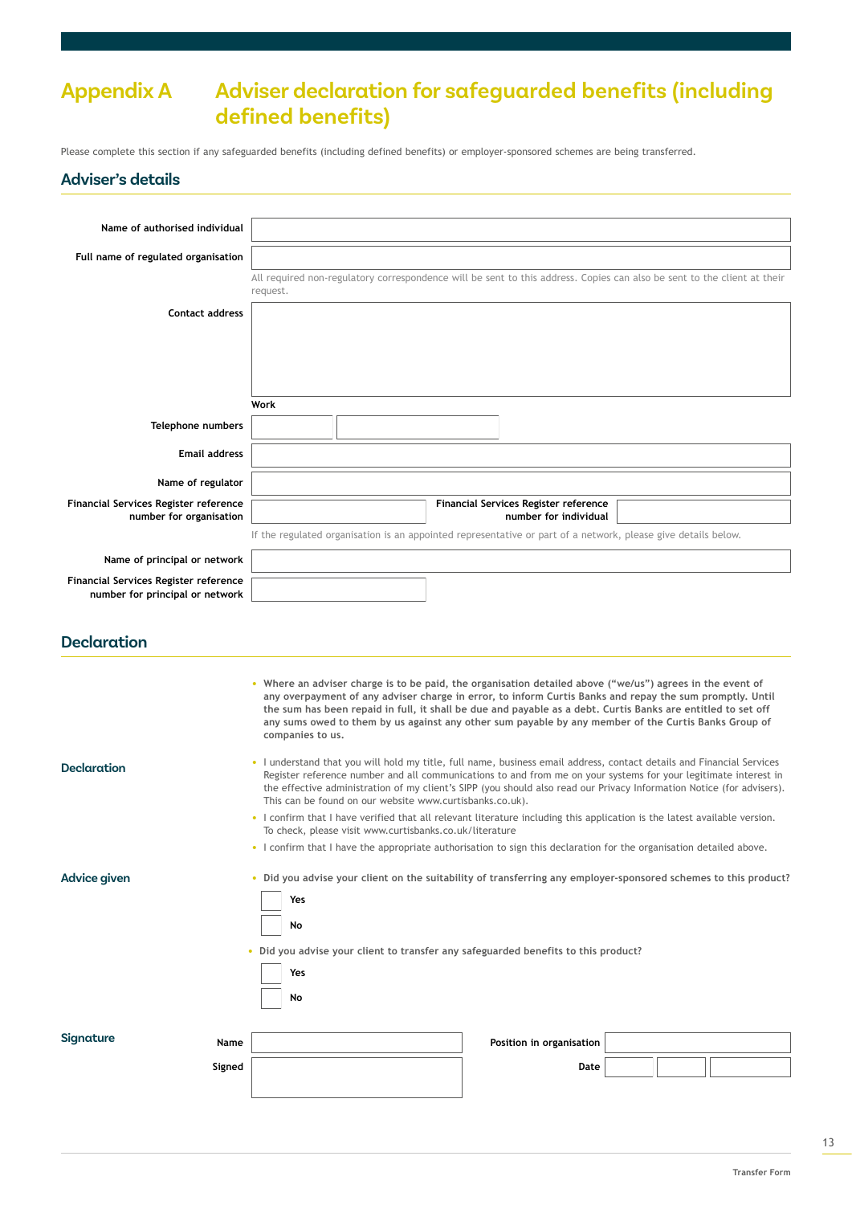# **Appendix A Adviser declaration for safeguarded benefits (including defined benefits)**

Please complete this section if any safeguarded benefits (including defined benefits) or employer-sponsored schemes are being transferred.

#### **Adviser's details**

| Name of authorised individual                                            |                                                                                                                                     |
|--------------------------------------------------------------------------|-------------------------------------------------------------------------------------------------------------------------------------|
| Full name of regulated organisation                                      |                                                                                                                                     |
|                                                                          | All required non-regulatory correspondence will be sent to this address. Copies can also be sent to the client at their<br>request. |
| <b>Contact address</b>                                                   |                                                                                                                                     |
|                                                                          |                                                                                                                                     |
|                                                                          |                                                                                                                                     |
|                                                                          |                                                                                                                                     |
|                                                                          | Work                                                                                                                                |
| Telephone numbers                                                        |                                                                                                                                     |
| <b>Email address</b>                                                     |                                                                                                                                     |
| Name of regulator                                                        |                                                                                                                                     |
| Financial Services Register reference<br>number for organisation         | Financial Services Register reference<br>number for individual                                                                      |
|                                                                          | If the regulated organisation is an appointed representative or part of a network, please give details below.                       |
| Name of principal or network                                             |                                                                                                                                     |
| Financial Services Register reference<br>number for principal or network |                                                                                                                                     |
|                                                                          |                                                                                                                                     |
| <b>Declaration</b>                                                       |                                                                                                                                     |

|                    | • Where an adviser charge is to be paid, the organisation detailed above ("we/us") agrees in the event of<br>any overpayment of any adviser charge in error, to inform Curtis Banks and repay the sum promptly, Until<br>the sum has been repaid in full, it shall be due and payable as a debt. Curtis Banks are entitled to set off<br>any sums owed to them by us against any other sum payable by any member of the Curtis Banks Group of<br>companies to us. |  |  |  |  |  |
|--------------------|-------------------------------------------------------------------------------------------------------------------------------------------------------------------------------------------------------------------------------------------------------------------------------------------------------------------------------------------------------------------------------------------------------------------------------------------------------------------|--|--|--|--|--|
| <b>Declaration</b> | . I understand that you will hold my title, full name, business email address, contact details and Financial Services<br>Register reference number and all communications to and from me on your systems for your legitimate interest in<br>the effective administration of my client's SIPP (you should also read our Privacy Information Notice (for advisers).<br>This can be found on our website www.curtisbanks.co.uk).                                     |  |  |  |  |  |
|                    | • I confirm that I have verified that all relevant literature including this application is the latest available version.<br>To check, please visit www.curtisbanks.co.uk/literature                                                                                                                                                                                                                                                                              |  |  |  |  |  |
|                    | • I confirm that I have the appropriate authorisation to sign this declaration for the organisation detailed above.                                                                                                                                                                                                                                                                                                                                               |  |  |  |  |  |
| Advice given       | • Did you advise your client on the suitability of transferring any employer-sponsored schemes to this product?<br>Yes<br>No<br>• Did you advise your client to transfer any safeguarded benefits to this product?<br>Yes<br>No                                                                                                                                                                                                                                   |  |  |  |  |  |
| Signature          | Name<br>Position in organisation<br>Signed<br>Date                                                                                                                                                                                                                                                                                                                                                                                                                |  |  |  |  |  |